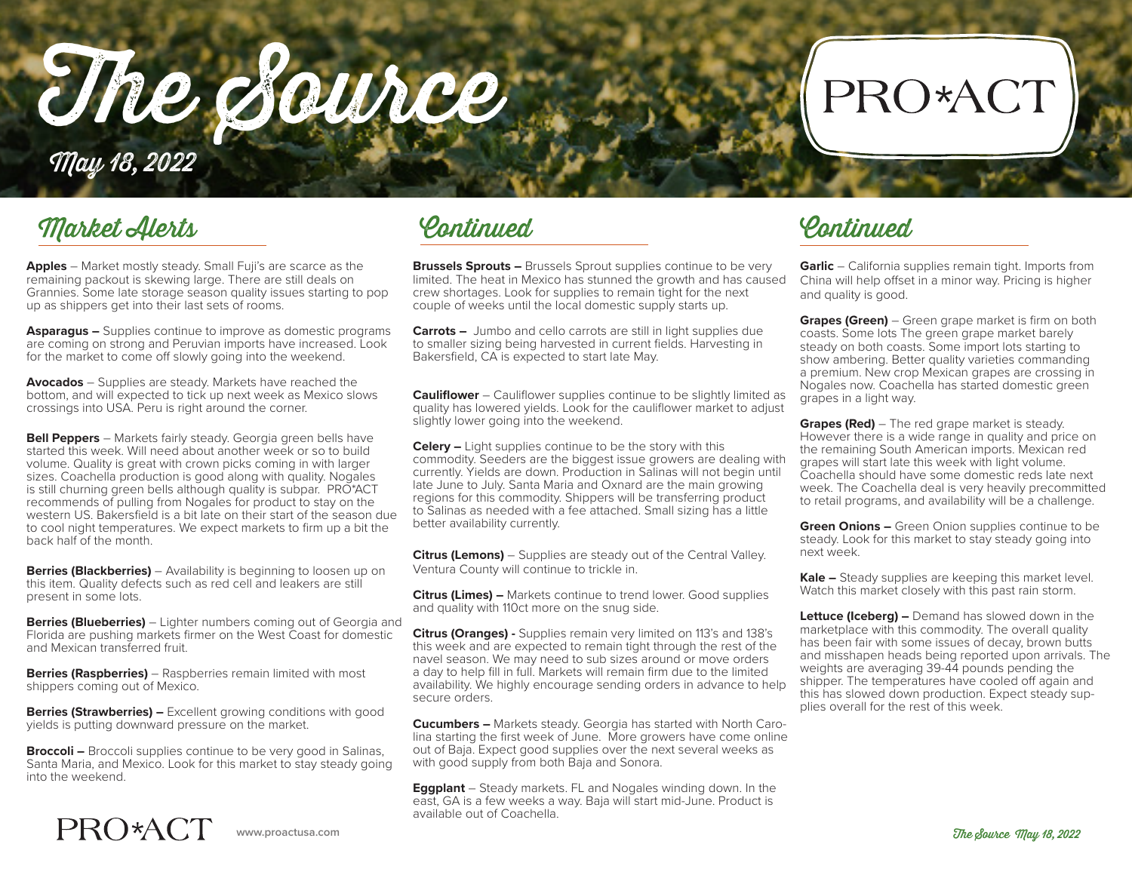The Source

## PRO\*ACT

Market Alerts

May 18, 2022

**Apples** – Market mostly steady. Small Fuji's are scarce as the remaining packout is skewing large. There are still deals on Grannies. Some late storage season quality issues starting to pop up as shippers get into their last sets of rooms.

**Asparagus –** Supplies continue to improve as domestic programs are coming on strong and Peruvian imports have increased. Look for the market to come off slowly going into the weekend.

**Avocados** – Supplies are steady. Markets have reached the bottom, and will expected to tick up next week as Mexico slows crossings into USA. Peru is right around the corner.

**Bell Peppers** – Markets fairly steady. Georgia green bells have started this week. Will need about another week or so to build volume. Quality is great with crown picks coming in with larger sizes. Coachella production is good along with quality. Nogales is still churning green bells although quality is subpar. PRO\*ACT recommends of pulling from Nogales for product to stay on the western US. Bakersfield is a bit late on their start of the season due to cool night temperatures. We expect markets to firm up a bit the back half of the month.

**Berries (Blackberries)** – Availability is beginning to loosen up on this item. Quality defects such as red cell and leakers are still present in some lots.

**Berries (Blueberries)** – Lighter numbers coming out of Georgia and Florida are pushing markets firmer on the West Coast for domestic and Mexican transferred fruit.

**Berries (Raspberries)** – Raspberries remain limited with most shippers coming out of Mexico.

**Berries (Strawberries) –** Excellent growing conditions with good yields is putting downward pressure on the market.

**Broccoli –** Broccoli supplies continue to be very good in Salinas, Santa Maria, and Mexico. Look for this market to stay steady going into the weekend.

Continued Continued

**Brussels Sprouts –** Brussels Sprout supplies continue to be very limited. The heat in Mexico has stunned the growth and has caused crew shortages. Look for supplies to remain tight for the next couple of weeks until the local domestic supply starts up.

**Carrots –** Jumbo and cello carrots are still in light supplies due to smaller sizing being harvested in current fields. Harvesting in Bakersfield, CA is expected to start late May.

**Cauliflower** – Cauliflower supplies continue to be slightly limited as quality has lowered yields. Look for the cauliflower market to adjust slightly lower going into the weekend.

**Celery –** Light supplies continue to be the story with this commodity. Seeders are the biggest issue growers are dealing with currently. Yields are down. Production in Salinas will not begin until late June to July. Santa Maria and Oxnard are the main growing regions for this commodity. Shippers will be transferring product to Salinas as needed with a fee attached. Small sizing has a little better availability currently.

**Citrus (Lemons)** – Supplies are steady out of the Central Valley. Ventura County will continue to trickle in.

**Citrus (Limes) –** Markets continue to trend lower. Good supplies and quality with 110ct more on the snug side.

**Citrus (Oranges) -** Supplies remain very limited on 113's and 138's this week and are expected to remain tight through the rest of the navel season. We may need to sub sizes around or move orders a day to help fill in full. Markets will remain firm due to the limited availability. We highly encourage sending orders in advance to help secure orders.

**Cucumbers –** Markets steady. Georgia has started with North Carolina starting the first week of June. More growers have come online out of Baja. Expect good supplies over the next several weeks as with good supply from both Baja and Sonora.

**Eggplant** – Steady markets. FL and Nogales winding down. In the east, GA is a few weeks a way. Baja will start mid-June. Product is available out of Coachella.

**Garlic** – California supplies remain tight. Imports from China will help offset in a minor way. Pricing is higher and quality is good.

**Grapes (Green)** – Green grape market is firm on both coasts. Some lots The green grape market barely steady on both coasts. Some import lots starting to show ambering. Better quality varieties commanding a premium. New crop Mexican grapes are crossing in Nogales now. Coachella has started domestic green grapes in a light way.

**Grapes (Red)** – The red grape market is steady. However there is a wide range in quality and price on the remaining South American imports. Mexican red grapes will start late this week with light volume. Coachella should have some domestic reds late next week. The Coachella deal is very heavily precommitted to retail programs, and availability will be a challenge.

**Green Onions –** Green Onion supplies continue to be steady. Look for this market to stay steady going into next week.

**Kale –** Steady supplies are keeping this market level. Watch this market closely with this past rain storm.

**Lettuce (Iceberg) –** Demand has slowed down in the marketplace with this commodity. The overall quality has been fair with some issues of decay, brown butts and misshapen heads being reported upon arrivals. The weights are averaging 39-44 pounds pending the shipper. The temperatures have cooled off again and this has slowed down production. Expect steady supplies overall for the rest of this week.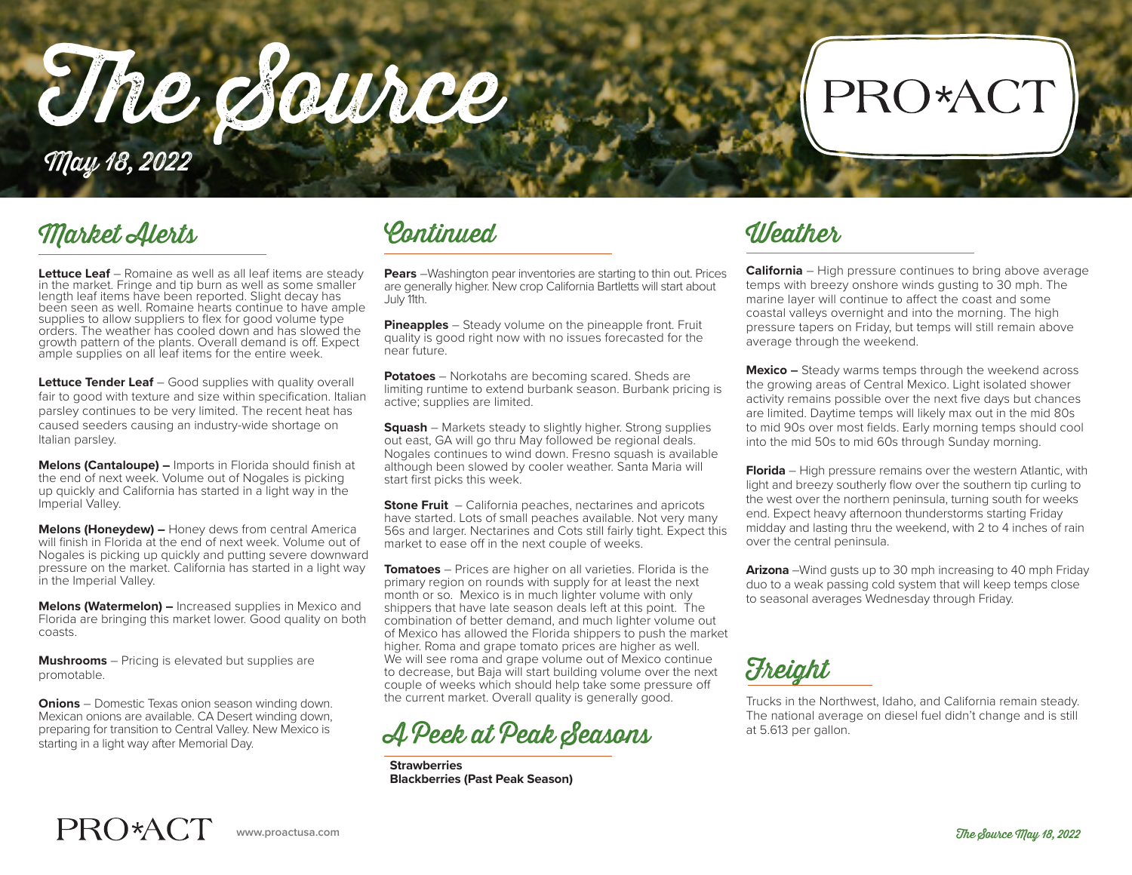The Source May 18, 2022

### Market Alerts Continued Weather

**Lettuce Leaf** – Romaine as well as all leaf items are steady in the market. Fringe and tip burn as well as some smaller length leaf items have been reported. Slight decay has been seen as well. Romaine hearts continue to have ample supplies to allow suppliers to flex for good volume type orders. The weather has cooled down and has slowed the growth pattern of the plants. Overall demand is off. Expect ample supplies on all leaf items for the entire week.

**Lettuce Tender Leaf** – Good supplies with quality overall fair to good with texture and size within specification. Italian parsley continues to be very limited. The recent heat has caused seeders causing an industry-wide shortage on Italian parsley.

**Melons (Cantaloupe) –** Imports in Florida should finish at the end of next week. Volume out of Nogales is picking up quickly and California has started in a light way in the Imperial Valley.

**Melons (Honeydew) –** Honey dews from central America will finish in Florida at the end of next week. Volume out of Nogales is picking up quickly and putting severe downward pressure on the market. California has started in a light way in the Imperial Valley.

**Melons (Watermelon) –** Increased supplies in Mexico and Florida are bringing this market lower. Good quality on both coasts.

**Mushrooms** – Pricing is elevated but supplies are promotable.

**Onions** – Domestic Texas onion season winding down. Mexican onions are available. CA Desert winding down, preparing for transition to Central Valley. New Mexico is starting in a light way after Memorial Day.

**Pears** –Washington pear inventories are starting to thin out. Prices are generally higher. New crop California Bartletts will start about July 11th.

**Pineapples** – Steady volume on the pineapple front. Fruit quality is good right now with no issues forecasted for the near future.

**Potatoes** – Norkotahs are becoming scared. Sheds are limiting runtime to extend burbank season. Burbank pricing is active; supplies are limited.

**Squash** – Markets steady to slightly higher. Strong supplies out east, GA will go thru May followed be regional deals. Nogales continues to wind down. Fresno squash is available although been slowed by cooler weather. Santa Maria will start first picks this week.

**Stone Fruit** – California peaches, nectarines and apricots have started. Lots of small peaches available. Not very many 56s and larger. Nectarines and Cots still fairly tight. Expect this market to ease off in the next couple of weeks.

**Tomatoes** – Prices are higher on all varieties. Florida is the primary region on rounds with supply for at least the next month or so. Mexico is in much lighter volume with only shippers that have late season deals left at this point. The combination of better demand, and much lighter volume out of Mexico has allowed the Florida shippers to push the market higher. Roma and grape tomato prices are higher as well. We will see roma and grape volume out of Mexico continue to decrease, but Baja will start building volume over the next couple of weeks which should help take some pressure off the current market. Overall quality is generally good.



**Strawberries Blackberries (Past Peak Season)**

**California** – High pressure continues to bring above average temps with breezy onshore winds gusting to 30 mph. The marine layer will continue to affect the coast and some coastal valleys overnight and into the morning. The high pressure tapers on Friday, but temps will still remain above average through the weekend.

PRO\*ACT

**Mexico –** Steady warms temps through the weekend across the growing areas of Central Mexico. Light isolated shower activity remains possible over the next five days but chances are limited. Daytime temps will likely max out in the mid 80s to mid 90s over most fields. Early morning temps should cool into the mid 50s to mid 60s through Sunday morning.

**Florida** – High pressure remains over the western Atlantic, with light and breezy southerly flow over the southern tip curling to the west over the northern peninsula, turning south for weeks end. Expect heavy afternoon thunderstorms starting Friday midday and lasting thru the weekend, with 2 to 4 inches of rain over the central peninsula.

**Arizona** –Wind gusts up to 30 mph increasing to 40 mph Friday duo to a weak passing cold system that will keep temps close to seasonal averages Wednesday through Friday.

**Freight** 

Trucks in the Northwest, Idaho, and California remain steady. The national average on diesel fuel didn't change and is still at 5.613 per gallon.

## PRO\*ACT